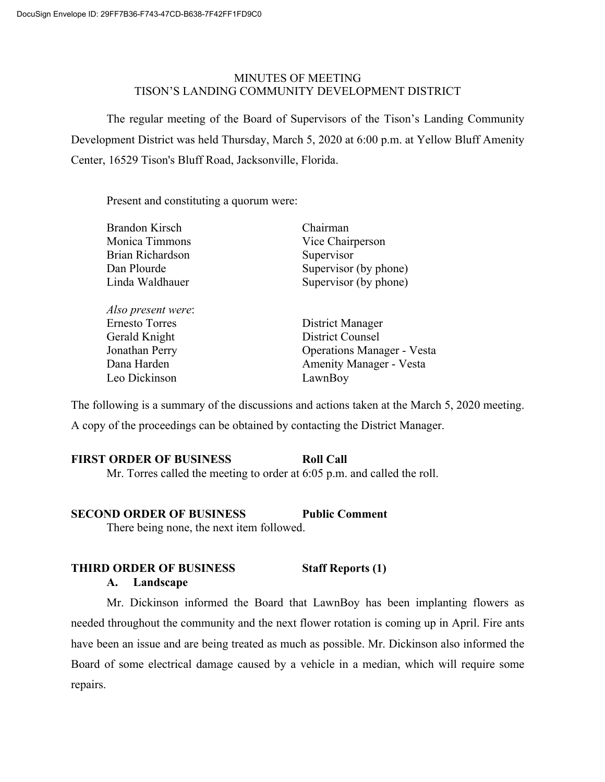## MINUTES OF MEETING TISON'S LANDING COMMUNITY DEVELOPMENT DISTRICT

The regular meeting of the Board of Supervisors of the Tison's Landing Community Development District was held Thursday, March 5, 2020 at 6:00 p.m. at Yellow Bluff Amenity Center, 16529 Tison's Bluff Road, Jacksonville, Florida.

Present and constituting a quorum were:

| <b>Brandon Kirsch</b> | Chairman                          |
|-----------------------|-----------------------------------|
| <b>Monica Timmons</b> | Vice Chairperson                  |
| Brian Richardson      | Supervisor                        |
| Dan Plourde           | Supervisor (by phone)             |
| Linda Waldhauer       | Supervisor (by phone)             |
| Also present were:    |                                   |
| <b>Ernesto Torres</b> | District Manager                  |
| Gerald Knight         | <b>District Counsel</b>           |
| Jonathan Perry        | <b>Operations Manager - Vesta</b> |
| Dana Harden           | <b>Amenity Manager - Vesta</b>    |
| Leo Dickinson         | LawnBoy                           |
|                       |                                   |

The following is a summary of the discussions and actions taken at the March 5, 2020 meeting.

A copy of the proceedings can be obtained by contacting the District Manager.

# **FIRST ORDER OF BUSINESS Roll Call**

Mr. Torres called the meeting to order at 6:05 p.m. and called the roll.

## **SECOND ORDER OF BUSINESS Public Comment**

There being none, the next item followed.

# **THIRD ORDER OF BUSINESS Staff Reports (1)**

## **A. Landscape**

Mr. Dickinson informed the Board that LawnBoy has been implanting flowers as needed throughout the community and the next flower rotation is coming up in April. Fire ants have been an issue and are being treated as much as possible. Mr. Dickinson also informed the Board of some electrical damage caused by a vehicle in a median, which will require some repairs.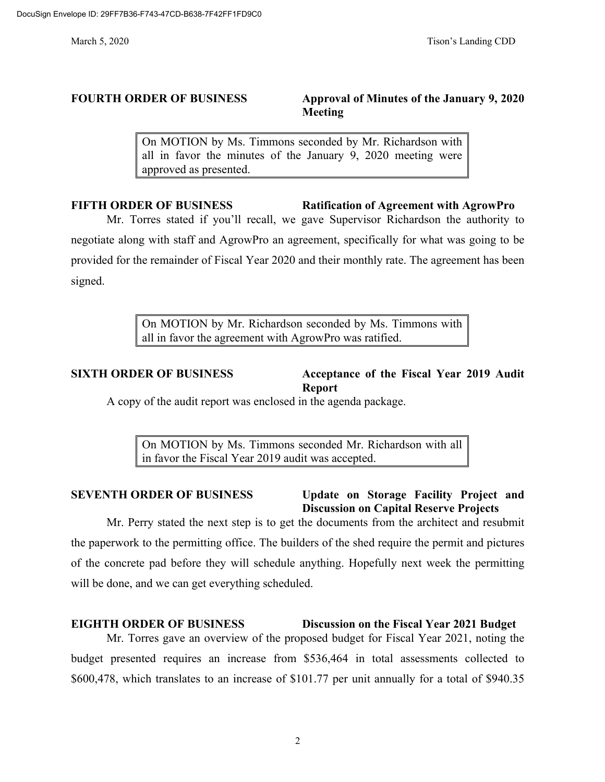## **FOURTH ORDER OF BUSINESS Approval of Minutes of the January 9, 2020 Meeting**

On MOTION by Ms. Timmons seconded by Mr. Richardson with all in favor the minutes of the January 9, 2020 meeting were approved as presented.

## **FIFTH ORDER OF BUSINESS Ratification of Agreement with AgrowPro**

Mr. Torres stated if you'll recall, we gave Supervisor Richardson the authority to negotiate along with staff and AgrowPro an agreement, specifically for what was going to be provided for the remainder of Fiscal Year 2020 and their monthly rate. The agreement has been signed.

> On MOTION by Mr. Richardson seconded by Ms. Timmons with all in favor the agreement with AgrowPro was ratified.

## **SIXTH ORDER OF BUSINESS Acceptance of the Fiscal Year 2019 Audit Report**

A copy of the audit report was enclosed in the agenda package.

On MOTION by Ms. Timmons seconded Mr. Richardson with all in favor the Fiscal Year 2019 audit was accepted.

## **SEVENTH ORDER OF BUSINESS Update on Storage Facility Project and Discussion on Capital Reserve Projects**

Mr. Perry stated the next step is to get the documents from the architect and resubmit the paperwork to the permitting office. The builders of the shed require the permit and pictures of the concrete pad before they will schedule anything. Hopefully next week the permitting will be done, and we can get everything scheduled.

## **EIGHTH ORDER OF BUSINESS Discussion on the Fiscal Year 2021 Budget**

Mr. Torres gave an overview of the proposed budget for Fiscal Year 2021, noting the budget presented requires an increase from \$536,464 in total assessments collected to \$600,478, which translates to an increase of \$101.77 per unit annually for a total of \$940.35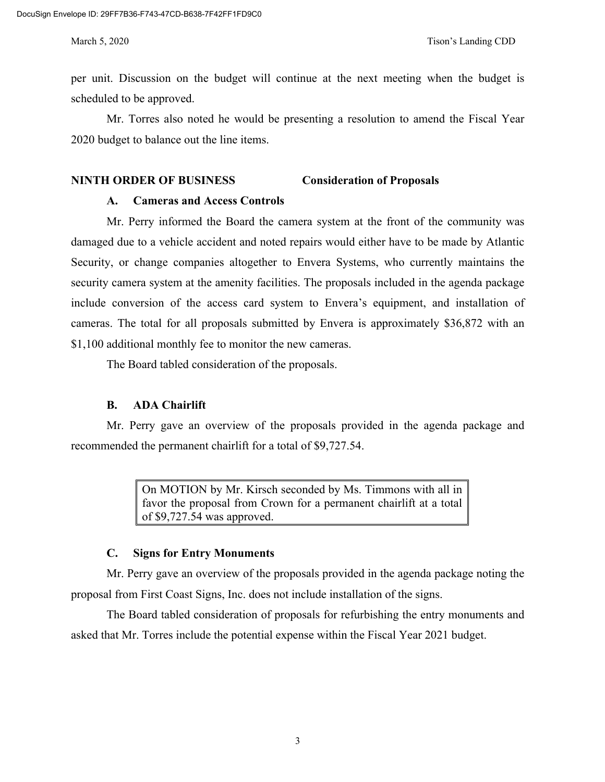per unit. Discussion on the budget will continue at the next meeting when the budget is scheduled to be approved.

Mr. Torres also noted he would be presenting a resolution to amend the Fiscal Year 2020 budget to balance out the line items.

#### **NINTH ORDER OF BUSINESS Consideration of Proposals**

### **A. Cameras and Access Controls**

Mr. Perry informed the Board the camera system at the front of the community was damaged due to a vehicle accident and noted repairs would either have to be made by Atlantic Security, or change companies altogether to Envera Systems, who currently maintains the security camera system at the amenity facilities. The proposals included in the agenda package include conversion of the access card system to Envera's equipment, and installation of cameras. The total for all proposals submitted by Envera is approximately \$36,872 with an \$1,100 additional monthly fee to monitor the new cameras.

The Board tabled consideration of the proposals.

#### **B. ADA Chairlift**

Mr. Perry gave an overview of the proposals provided in the agenda package and recommended the permanent chairlift for a total of \$9,727.54.

> On MOTION by Mr. Kirsch seconded by Ms. Timmons with all in favor the proposal from Crown for a permanent chairlift at a total of \$9,727.54 was approved.

#### **C. Signs for Entry Monuments**

Mr. Perry gave an overview of the proposals provided in the agenda package noting the proposal from First Coast Signs, Inc. does not include installation of the signs.

The Board tabled consideration of proposals for refurbishing the entry monuments and asked that Mr. Torres include the potential expense within the Fiscal Year 2021 budget.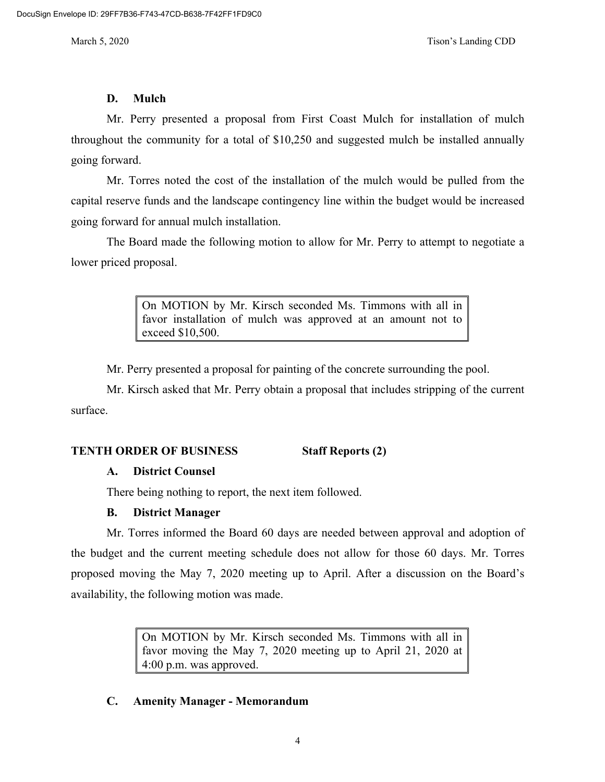## **D. Mulch**

Mr. Perry presented a proposal from First Coast Mulch for installation of mulch throughout the community for a total of \$10,250 and suggested mulch be installed annually going forward.

Mr. Torres noted the cost of the installation of the mulch would be pulled from the capital reserve funds and the landscape contingency line within the budget would be increased going forward for annual mulch installation.

The Board made the following motion to allow for Mr. Perry to attempt to negotiate a lower priced proposal.

> On MOTION by Mr. Kirsch seconded Ms. Timmons with all in favor installation of mulch was approved at an amount not to exceed \$10,500.

Mr. Perry presented a proposal for painting of the concrete surrounding the pool.

Mr. Kirsch asked that Mr. Perry obtain a proposal that includes stripping of the current surface.

## **TENTH ORDER OF BUSINESS Staff Reports (2)**

### **A. District Counsel**

There being nothing to report, the next item followed.

### **B. District Manager**

Mr. Torres informed the Board 60 days are needed between approval and adoption of the budget and the current meeting schedule does not allow for those 60 days. Mr. Torres proposed moving the May 7, 2020 meeting up to April. After a discussion on the Board's availability, the following motion was made.

> On MOTION by Mr. Kirsch seconded Ms. Timmons with all in favor moving the May 7, 2020 meeting up to April 21, 2020 at 4:00 p.m. was approved.

### **C. Amenity Manager - Memorandum**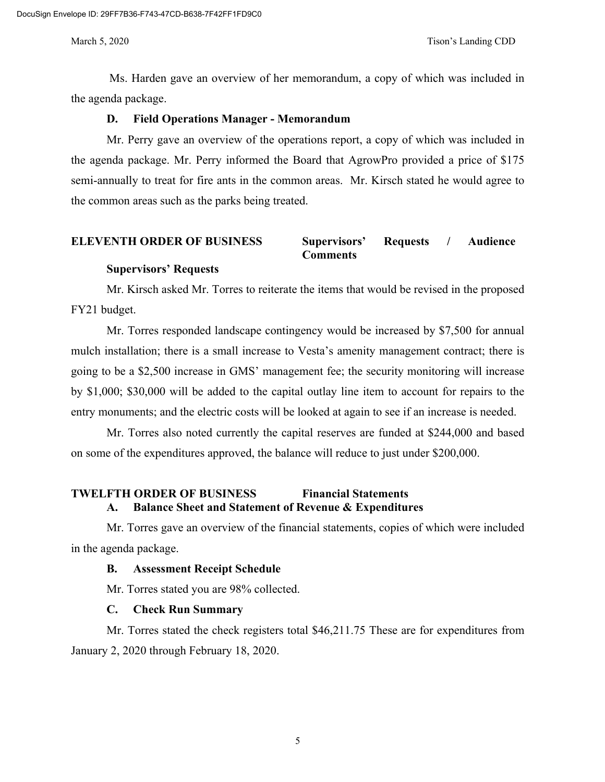Ms. Harden gave an overview of her memorandum, a copy of which was included in the agenda package.

#### **D. Field Operations Manager - Memorandum**

Mr. Perry gave an overview of the operations report, a copy of which was included in the agenda package. Mr. Perry informed the Board that AgrowPro provided a price of \$175 semi-annually to treat for fire ants in the common areas. Mr. Kirsch stated he would agree to the common areas such as the parks being treated.

## **ELEVENTH ORDER OF BUSINESS Supervisors' Requests / Audience Comments Supervisors' Requests**

Mr. Kirsch asked Mr. Torres to reiterate the items that would be revised in the proposed FY21 budget.

Mr. Torres responded landscape contingency would be increased by \$7,500 for annual mulch installation; there is a small increase to Vesta's amenity management contract; there is going to be a \$2,500 increase in GMS' management fee; the security monitoring will increase by \$1,000; \$30,000 will be added to the capital outlay line item to account for repairs to the entry monuments; and the electric costs will be looked at again to see if an increase is needed.

Mr. Torres also noted currently the capital reserves are funded at \$244,000 and based on some of the expenditures approved, the balance will reduce to just under \$200,000.

## **TWELFTH ORDER OF BUSINESS Financial Statements A. Balance Sheet and Statement of Revenue & Expenditures**

Mr. Torres gave an overview of the financial statements, copies of which were included in the agenda package.

#### **B. Assessment Receipt Schedule**

Mr. Torres stated you are 98% collected.

## **C. Check Run Summary**

Mr. Torres stated the check registers total \$46,211.75 These are for expenditures from January 2, 2020 through February 18, 2020.